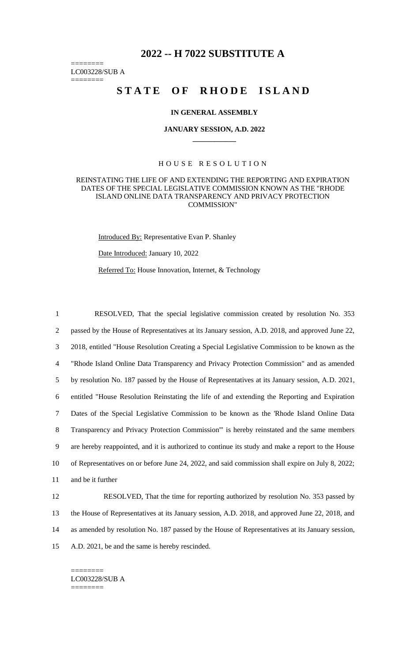# **2022 -- H 7022 SUBSTITUTE A**

======== LC003228/SUB A

========

# STATE OF RHODE ISLAND

### **IN GENERAL ASSEMBLY**

#### **JANUARY SESSION, A.D. 2022 \_\_\_\_\_\_\_\_\_\_\_\_**

## H O U S E R E S O L U T I O N

### REINSTATING THE LIFE OF AND EXTENDING THE REPORTING AND EXPIRATION DATES OF THE SPECIAL LEGISLATIVE COMMISSION KNOWN AS THE "RHODE ISLAND ONLINE DATA TRANSPARENCY AND PRIVACY PROTECTION COMMISSION"

Introduced By: Representative Evan P. Shanley

Date Introduced: January 10, 2022

Referred To: House Innovation, Internet, & Technology

 RESOLVED, That the special legislative commission created by resolution No. 353 passed by the House of Representatives at its January session, A.D. 2018, and approved June 22, 2018, entitled "House Resolution Creating a Special Legislative Commission to be known as the "Rhode Island Online Data Transparency and Privacy Protection Commission" and as amended by resolution No. 187 passed by the House of Representatives at its January session, A.D. 2021, entitled "House Resolution Reinstating the life of and extending the Reporting and Expiration Dates of the Special Legislative Commission to be known as the 'Rhode Island Online Data Transparency and Privacy Protection Commission'" is hereby reinstated and the same members are hereby reappointed, and it is authorized to continue its study and make a report to the House of Representatives on or before June 24, 2022, and said commission shall expire on July 8, 2022; and be it further

12 RESOLVED, That the time for reporting authorized by resolution No. 353 passed by the House of Representatives at its January session, A.D. 2018, and approved June 22, 2018, and as amended by resolution No. 187 passed by the House of Representatives at its January session, A.D. 2021, be and the same is hereby rescinded.

======== LC003228/SUB A ========